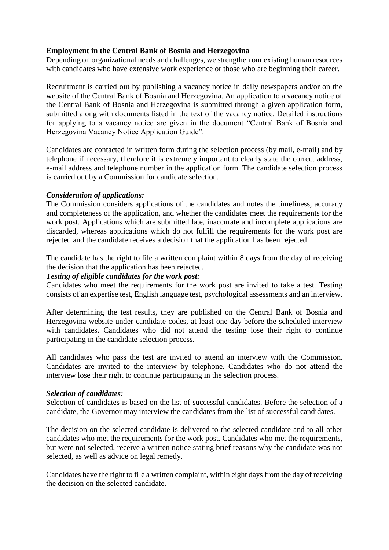# **Employment in the Central Bank of Bosnia and Herzegovina**

Depending on organizational needs and challenges, we strengthen our existing human resources with candidates who have extensive work experience or those who are beginning their career.

Recruitment is carried out by publishing a vacancy notice in daily newspapers and/or on the website of the Central Bank of Bosnia and Herzegovina. An application to a vacancy notice of the Central Bank of Bosnia and Herzegovina is submitted through a given application form, submitted along with documents listed in the text of the vacancy notice. Detailed instructions for applying to a vacancy notice are given in the document "Central Bank of Bosnia and Herzegovina Vacancy Notice Application Guide".

Candidates are contacted in written form during the selection process (by mail, e-mail) and by telephone if necessary, therefore it is extremely important to clearly state the correct address, e-mail address and telephone number in the application form. The candidate selection process is carried out by a Commission for candidate selection.

# *Consideration of applications:*

The Commission considers applications of the candidates and notes the timeliness, accuracy and completeness of the application, and whether the candidates meet the requirements for the work post. Applications which are submitted late, inaccurate and incomplete applications are discarded, whereas applications which do not fulfill the requirements for the work post are rejected and the candidate receives a decision that the application has been rejected.

The candidate has the right to file a written complaint within 8 days from the day of receiving the decision that the application has been rejected.

## *Testing of eligible candidates for the work post:*

Candidates who meet the requirements for the work post are invited to take a test. Testing consists of an expertise test, English language test, psychological assessments and an interview.

After determining the test results, they are published on the Central Bank of Bosnia and Herzegovina website under candidate codes, at least one day before the scheduled interview with candidates. Candidates who did not attend the testing lose their right to continue participating in the candidate selection process.

All candidates who pass the test are invited to attend an interview with the Commission. Candidates are invited to the interview by telephone. Candidates who do not attend the interview lose their right to continue participating in the selection process.

#### *Selection of candidates:*

Selection of candidates is based on the list of successful candidates. Before the selection of a candidate, the Governor may interview the candidates from the list of successful candidates.

The decision on the selected candidate is delivered to the selected candidate and to all other candidates who met the requirements for the work post. Candidates who met the requirements, but were not selected, receive a written notice stating brief reasons why the candidate was not selected, as well as advice on legal remedy.

Candidates have the right to file a written complaint, within eight days from the day of receiving the decision on the selected candidate.